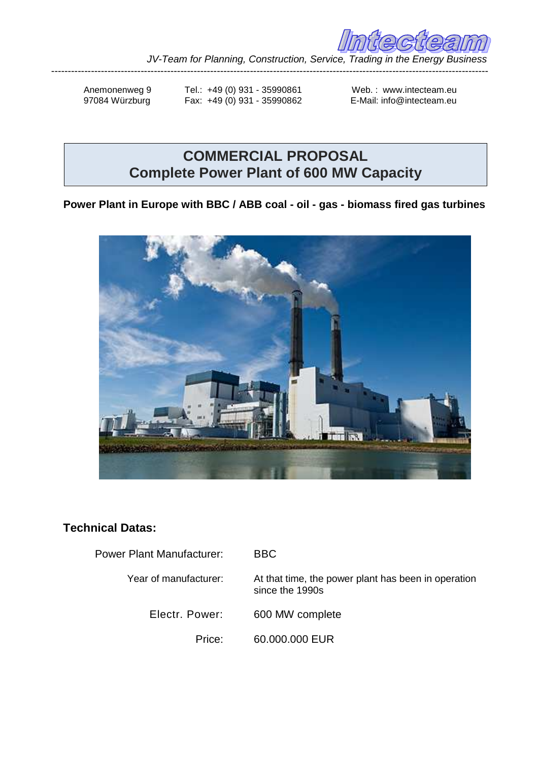

 JV-Team for Planning, Construction, Service, Trading in the Energy Business ------------------------------------------------------------------------------------------------------------------------------------

Anemonenweg 9 97084 Würzburg Tel.: +49 (0) 931 - 35990861 Fax: +49 (0) 931 - 35990862

Web. : www.intecteam.eu E-Mail: info@intecteam.eu

# **COMMERCIAL PROPOSAL Complete Power Plant of 600 MW Capacity**

# **Power Plant in Europe with BBC / ABB coal - oil - gas - biomass fired gas turbines**



# **Technical Datas:**

| Power Plant Manufacturer: | BBC.                                                                   |
|---------------------------|------------------------------------------------------------------------|
| Year of manufacturer:     | At that time, the power plant has been in operation<br>since the 1990s |
| Electr. Power:            | 600 MW complete                                                        |
| Price:                    | 60,000,000 EUR                                                         |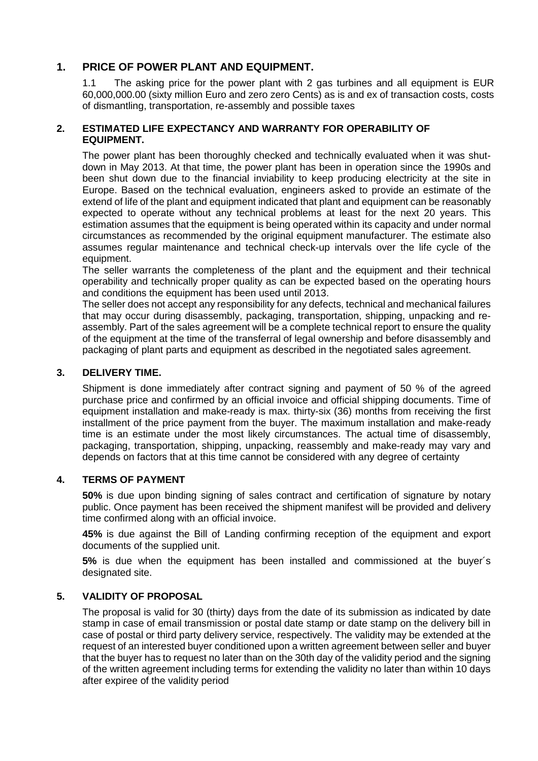# **1. PRICE OF POWER PLANT AND EQUIPMENT.**

1.1 The asking price for the power plant with 2 gas turbines and all equipment is EUR 60,000,000.00 (sixty million Euro and zero zero Cents) as is and ex of transaction costs, costs of dismantling, transportation, re-assembly and possible taxes

#### **2. ESTIMATED LIFE EXPECTANCY AND WARRANTY FOR OPERABILITY OF EQUIPMENT.**

The power plant has been thoroughly checked and technically evaluated when it was shutdown in May 2013. At that time, the power plant has been in operation since the 1990s and been shut down due to the financial inviability to keep producing electricity at the site in Europe. Based on the technical evaluation, engineers asked to provide an estimate of the extend of life of the plant and equipment indicated that plant and equipment can be reasonably expected to operate without any technical problems at least for the next 20 years. This estimation assumes that the equipment is being operated within its capacity and under normal circumstances as recommended by the original equipment manufacturer. The estimate also assumes regular maintenance and technical check-up intervals over the life cycle of the equipment.

The seller warrants the completeness of the plant and the equipment and their technical operability and technically proper quality as can be expected based on the operating hours and conditions the equipment has been used until 2013.

The seller does not accept any responsibility for any defects, technical and mechanical failures that may occur during disassembly, packaging, transportation, shipping, unpacking and reassembly. Part of the sales agreement will be a complete technical report to ensure the quality of the equipment at the time of the transferral of legal ownership and before disassembly and packaging of plant parts and equipment as described in the negotiated sales agreement.

## **3. DELIVERY TIME.**

Shipment is done immediately after contract signing and payment of 50 % of the agreed purchase price and confirmed by an official invoice and official shipping documents. Time of equipment installation and make-ready is max. thirty-six (36) months from receiving the first installment of the price payment from the buyer. The maximum installation and make-ready time is an estimate under the most likely circumstances. The actual time of disassembly, packaging, transportation, shipping, unpacking, reassembly and make-ready may vary and depends on factors that at this time cannot be considered with any degree of certainty

## **4. TERMS OF PAYMENT**

**50%** is due upon binding signing of sales contract and certification of signature by notary public. Once payment has been received the shipment manifest will be provided and delivery time confirmed along with an official invoice.

**45%** is due against the Bill of Landing confirming reception of the equipment and export documents of the supplied unit.

**5%** is due when the equipment has been installed and commissioned at the buyer´s designated site.

#### **5. VALIDITY OF PROPOSAL**

The proposal is valid for 30 (thirty) days from the date of its submission as indicated by date stamp in case of email transmission or postal date stamp or date stamp on the delivery bill in case of postal or third party delivery service, respectively. The validity may be extended at the request of an interested buyer conditioned upon a written agreement between seller and buyer that the buyer has to request no later than on the 30th day of the validity period and the signing of the written agreement including terms for extending the validity no later than within 10 days after expiree of the validity period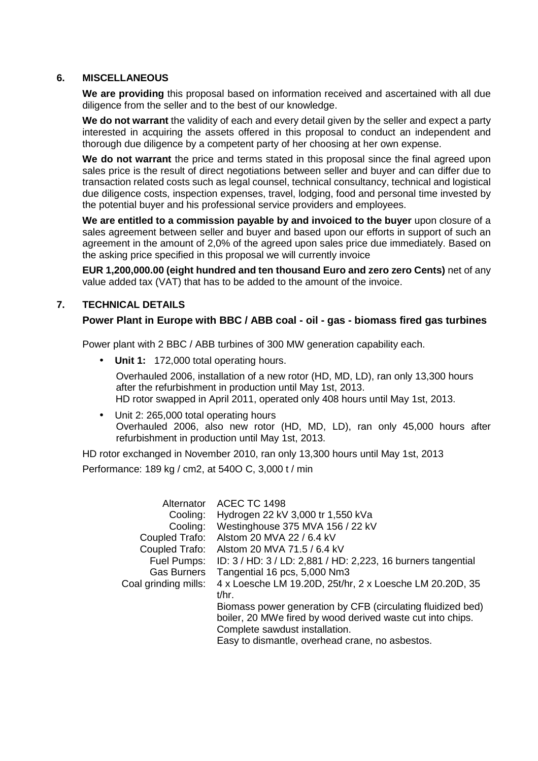#### **6. MISCELLANEOUS**

**We are providing** this proposal based on information received and ascertained with all due diligence from the seller and to the best of our knowledge.

**We do not warrant** the validity of each and every detail given by the seller and expect a party interested in acquiring the assets offered in this proposal to conduct an independent and thorough due diligence by a competent party of her choosing at her own expense.

**We do not warrant** the price and terms stated in this proposal since the final agreed upon sales price is the result of direct negotiations between seller and buyer and can differ due to transaction related costs such as legal counsel, technical consultancy, technical and logistical due diligence costs, inspection expenses, travel, lodging, food and personal time invested by the potential buyer and his professional service providers and employees.

**We are entitled to a commission payable by and invoiced to the buyer** upon closure of a sales agreement between seller and buyer and based upon our efforts in support of such an agreement in the amount of 2,0% of the agreed upon sales price due immediately. Based on the asking price specified in this proposal we will currently invoice

**EUR 1,200,000.00 (eight hundred and ten thousand Euro and zero zero Cents)** net of any value added tax (VAT) that has to be added to the amount of the invoice.

### **7. TECHNICAL DETAILS**

# **Power Plant in Europe with BBC / ABB coal - oil - gas - biomass fired gas turbines**

Power plant with 2 BBC / ABB turbines of 300 MW generation capability each.

- **Unit 1:** 172,000 total operating hours. Overhauled 2006, installation of a new rotor (HD, MD, LD), ran only 13,300 hours after the refurbishment in production until May 1st, 2013. HD rotor swapped in April 2011, operated only 408 hours until May 1st, 2013.
- Unit 2: 265,000 total operating hours Overhauled 2006, also new rotor (HD, MD, LD), ran only 45,000 hours after refurbishment in production until May 1st, 2013.

HD rotor exchanged in November 2010, ran only 13,300 hours until May 1st, 2013 Performance: 189 kg / cm2, at 540O C, 3,000 t / min

|                      | Alternator ACEC TC 1498                                                                                                                                     |
|----------------------|-------------------------------------------------------------------------------------------------------------------------------------------------------------|
| Cooling:             | Hydrogen 22 kV 3,000 tr 1,550 kVa                                                                                                                           |
| Cooling:             | Westinghouse 375 MVA 156 / 22 kV                                                                                                                            |
| Coupled Trafo:       | Alstom 20 MVA 22 / 6.4 kV                                                                                                                                   |
| Coupled Trafo:       | Alstom 20 MVA 71.5 / 6.4 kV                                                                                                                                 |
| Fuel Pumps:          | ID: 3 / HD: 3 / LD: 2,881 / HD: 2,223, 16 burners tangential                                                                                                |
| <b>Gas Burners</b>   | Tangential 16 pcs, 5,000 Nm3                                                                                                                                |
| Coal grinding mills: | 4 x Loesche LM 19.20D, 25t/hr, 2 x Loesche LM 20.20D, 35<br>$t/hr$ .                                                                                        |
|                      | Biomass power generation by CFB (circulating fluidized bed)<br>boiler, 20 MWe fired by wood derived waste cut into chips.<br>Complete sawdust installation. |
|                      | Easy to dismantle, overhead crane, no asbestos.                                                                                                             |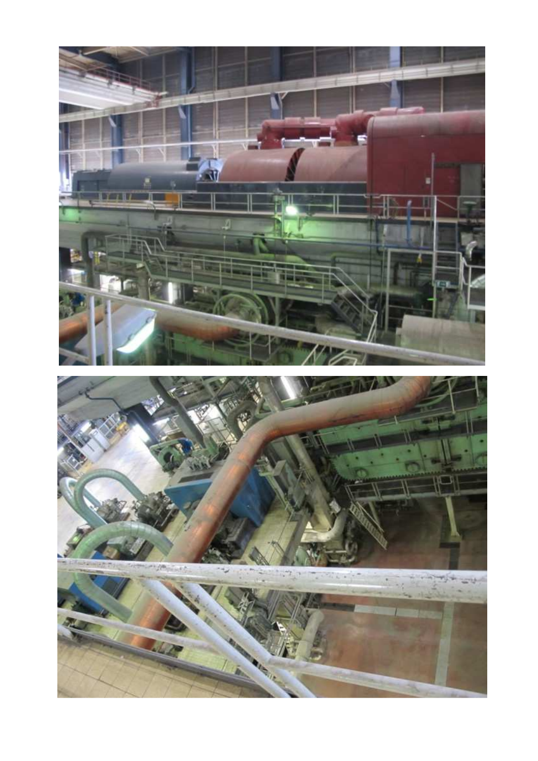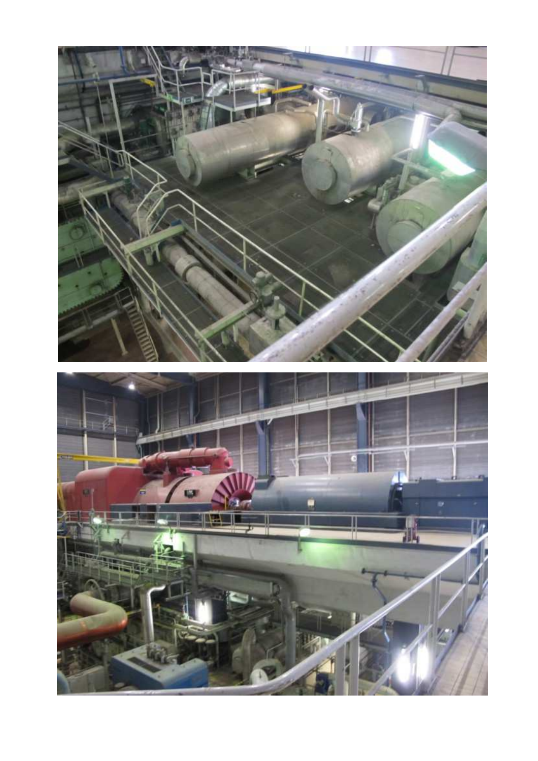![](_page_4_Picture_0.jpeg)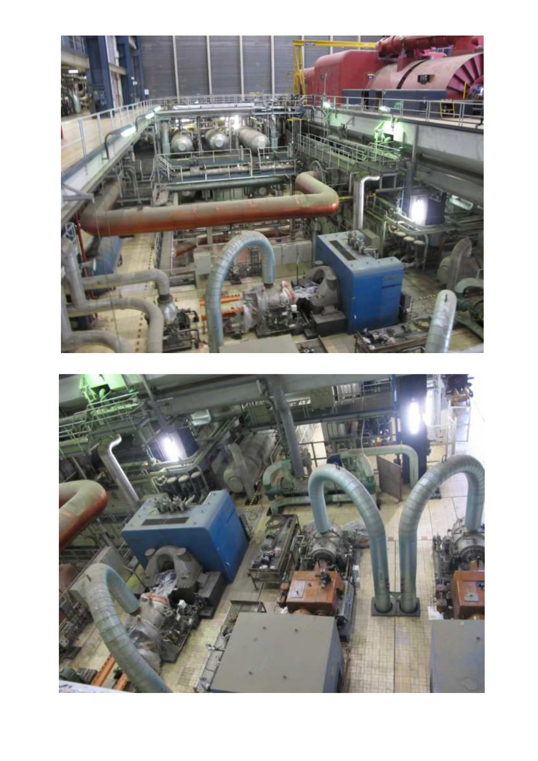![](_page_5_Picture_0.jpeg)

![](_page_5_Picture_1.jpeg)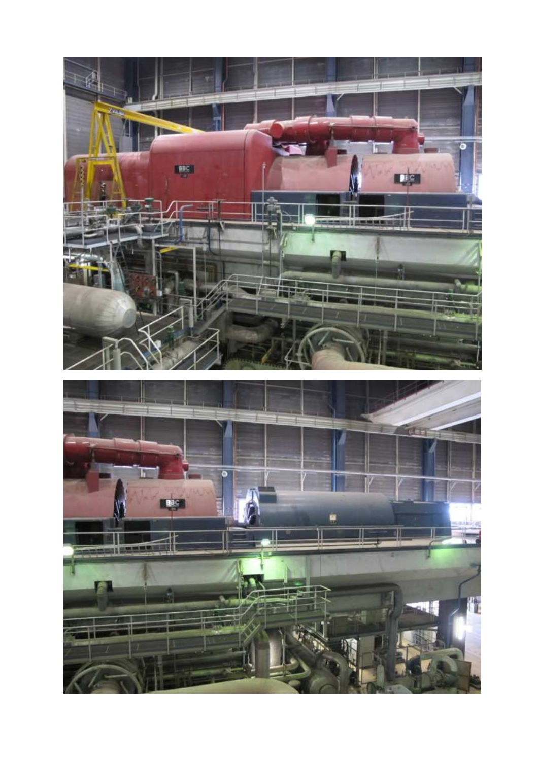![](_page_6_Picture_0.jpeg)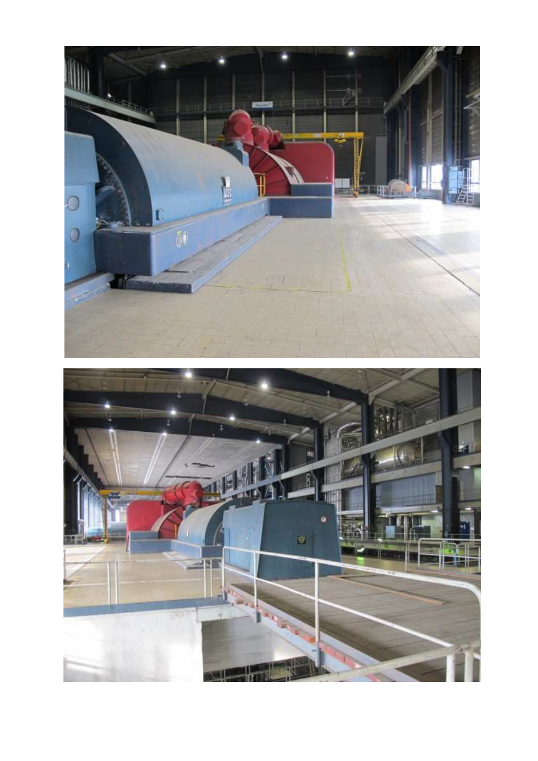![](_page_7_Picture_0.jpeg)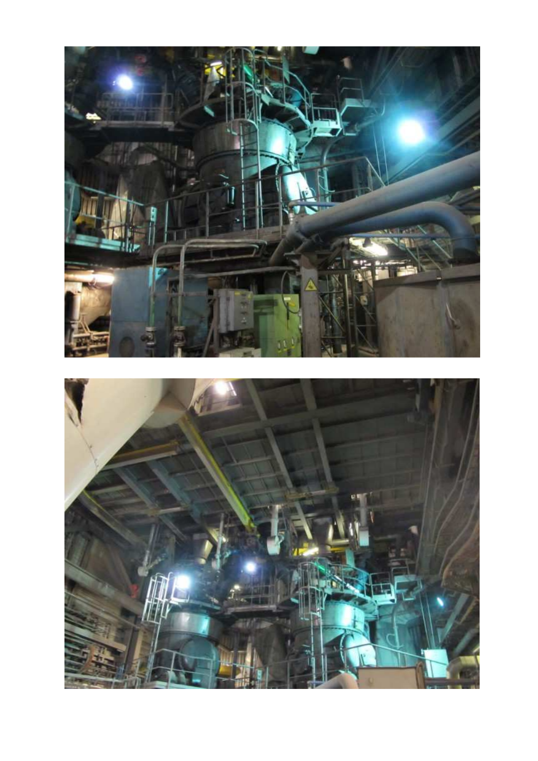![](_page_8_Picture_0.jpeg)

![](_page_8_Picture_1.jpeg)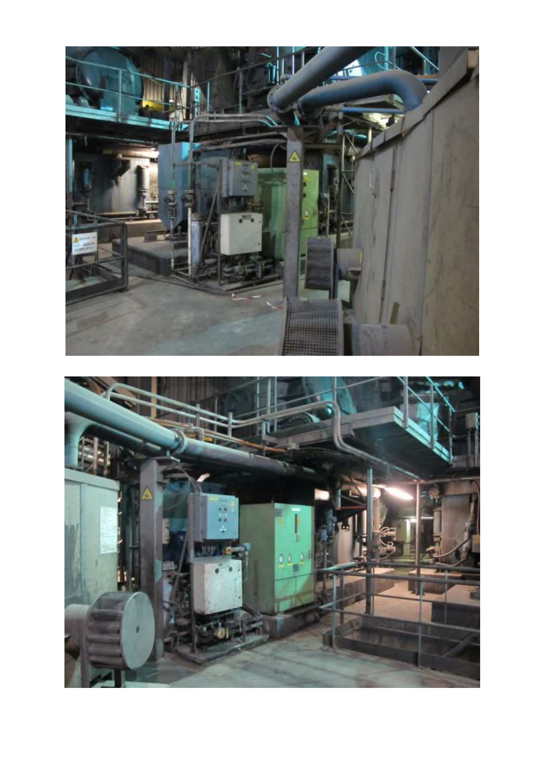![](_page_9_Picture_0.jpeg)

![](_page_9_Picture_1.jpeg)